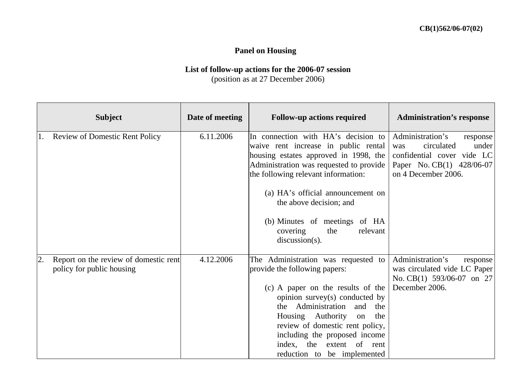## **Panel on Housing**

## **List of follow-up actions for the 2006-07 session**  (position as at 27 December 2006)

|    | <b>Subject</b>                                                     | Date of meeting | <b>Follow-up actions required</b>                                                                                                                                                                                                                                                                                                                           | <b>Administration's response</b>                                                                                                             |
|----|--------------------------------------------------------------------|-----------------|-------------------------------------------------------------------------------------------------------------------------------------------------------------------------------------------------------------------------------------------------------------------------------------------------------------------------------------------------------------|----------------------------------------------------------------------------------------------------------------------------------------------|
| 1. | <b>Review of Domestic Rent Policy</b>                              | 6.11.2006       | In connection with HA's decision to<br>waive rent increase in public rental<br>housing estates approved in 1998, the<br>Administration was requested to provide<br>the following relevant information:<br>(a) HA's official announcement on<br>the above decision; and<br>(b) Minutes of meetings of HA<br>the<br>relevant<br>covering<br>$discussion(s)$ . | Administration's<br>response<br>circulated<br>under<br>was<br>confidential cover vide LC<br>Paper No. CB(1) 428/06-07<br>on 4 December 2006. |
| 2. | Report on the review of domestic rent<br>policy for public housing | 4.12.2006       | The Administration was requested to<br>provide the following papers:<br>(c) A paper on the results of the<br>opinion survey(s) conducted by<br>the Administration<br>and<br>the<br>Housing Authority<br>the<br>on<br>review of domestic rent policy,<br>including the proposed income<br>index, the extent of rent<br>reduction to be implemented           | Administration's<br>response<br>was circulated vide LC Paper<br>No. CB(1) 593/06-07 on 27<br>December 2006.                                  |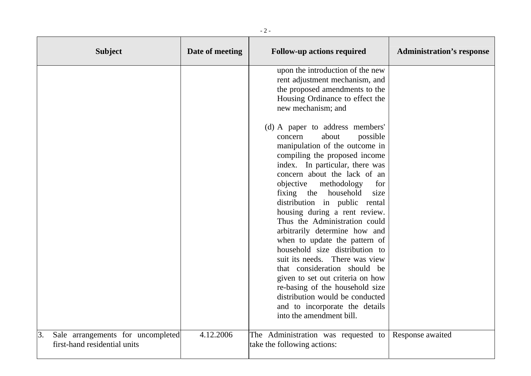| <b>Subject</b>                                                          | Date of meeting | <b>Follow-up actions required</b>                                                                                                                                                                                                                                                                                                                                                                                                                                                                                                                                                                                                                                                                                            | <b>Administration's response</b> |
|-------------------------------------------------------------------------|-----------------|------------------------------------------------------------------------------------------------------------------------------------------------------------------------------------------------------------------------------------------------------------------------------------------------------------------------------------------------------------------------------------------------------------------------------------------------------------------------------------------------------------------------------------------------------------------------------------------------------------------------------------------------------------------------------------------------------------------------------|----------------------------------|
|                                                                         |                 | upon the introduction of the new<br>rent adjustment mechanism, and<br>the proposed amendments to the<br>Housing Ordinance to effect the<br>new mechanism; and                                                                                                                                                                                                                                                                                                                                                                                                                                                                                                                                                                |                                  |
|                                                                         |                 | (d) A paper to address members'<br>about<br>possible<br>concern<br>manipulation of the outcome in<br>compiling the proposed income<br>index. In particular, there was<br>concern about the lack of an<br>objective<br>methodology<br>for<br>fixing the<br>household<br>size<br>distribution in public rental<br>housing during a rent review.<br>Thus the Administration could<br>arbitrarily determine how and<br>when to update the pattern of<br>household size distribution to<br>suit its needs. There was view<br>that consideration should be<br>given to set out criteria on how<br>re-basing of the household size<br>distribution would be conducted<br>and to incorporate the details<br>into the amendment bill. |                                  |
| 3.<br>Sale arrangements for uncompleted<br>first-hand residential units | 4.12.2006       | The Administration was requested to<br>take the following actions:                                                                                                                                                                                                                                                                                                                                                                                                                                                                                                                                                                                                                                                           | Response awaited                 |